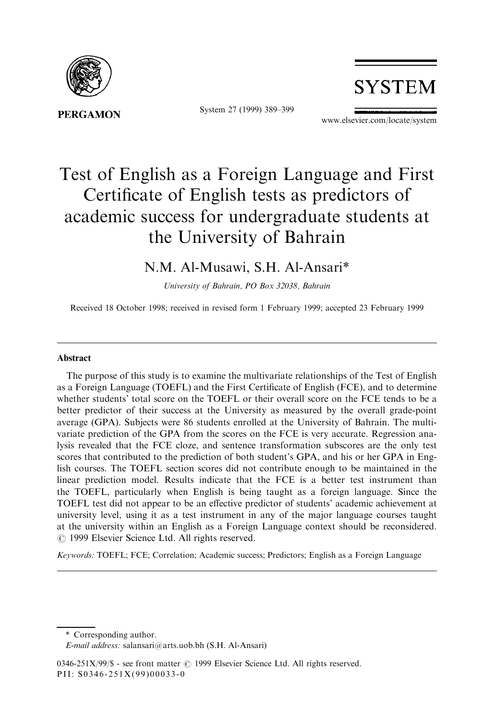

System 27 (1999) 389-399



www.elsevier.com/locate/system

# Test of English as a Foreign Language and First Certificate of English tests as predictors of academic success for undergraduate students at the University of Bahrain

# N.M. Al-Musawi, S.H. Al-Ansari\*

University of Bahrain, PO Box 32038, Bahrain

Received 18 October 1998; received in revised form 1 February 1999; accepted 23 February 1999

#### Abstract

The purpose of this study is to examine the multivariate relationships of the Test of English as a Foreign Language (TOEFL) and the First Certificate of English (FCE), and to determine whether students' total score on the TOEFL or their overall score on the FCE tends to be a better predictor of their success at the University as measured by the overall grade-point average (GPA). Subjects were 86 students enrolled at the University of Bahrain. The multivariate prediction of the GPA from the scores on the FCE is very accurate. Regression analysis revealed that the FCE cloze, and sentence transformation subscores are the only test scores that contributed to the prediction of both student's GPA, and his or her GPA in English courses. The TOEFL section scores did not contribute enough to be maintained in the linear prediction model. Results indicate that the FCE is a better test instrument than the TOEFL, particularly when English is being taught as a foreign language. Since the TOEFL test did not appear to be an effective predictor of students' academic achievement at university level, using it as a test instrument in any of the major language courses taught at the university within an English as a Foreign Language context should be reconsidered.  $© 1999$  Elsevier Science Ltd. All rights reserved.

Keywords: TOEFL; FCE; Correlation; Academic success; Predictors; English as a Foreign Language

<sup>\*</sup> Corresponding author.

E-mail address: salansari@arts.uob.bh (S.H. Al-Ansari)

<sup>0346-251</sup>X/99/\$ - see front matter © 1999 Elsevier Science Ltd. All rights reserved. PII: S0346-251X(99)00033-0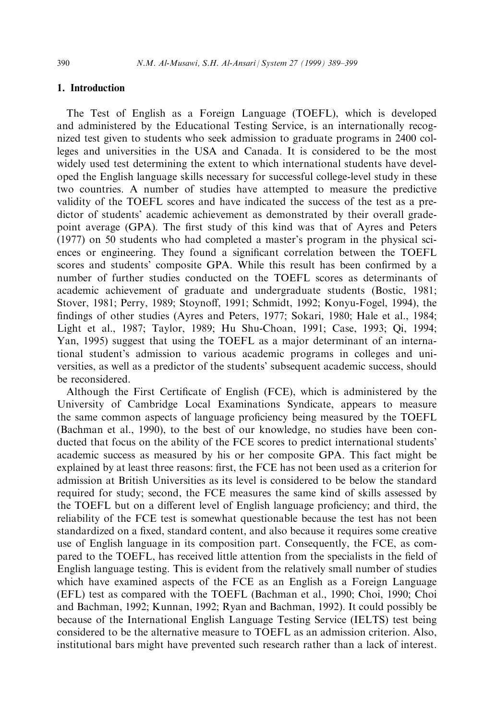# 1. Introduction

The Test of English as a Foreign Language (TOEFL), which is developed and administered by the Educational Testing Service, is an internationally recognized test given to students who seek admission to graduate programs in 2400 colleges and universities in the USA and Canada. It is considered to be the most widely used test determining the extent to which international students have developed the English language skills necessary for successful college-level study in these two countries. A number of studies have attempted to measure the predictive validity of the TOEFL scores and have indicated the success of the test as a predictor of students' academic achievement as demonstrated by their overall gradepoint average (GPA). The first study of this kind was that of Ayres and Peters (1977) on 50 students who had completed a master's program in the physical sciences or engineering. They found a significant correlation between the TOEFL scores and students' composite GPA. While this result has been confirmed by a number of further studies conducted on the TOEFL scores as determinants of academic achievement of graduate and undergraduate students (Bostic, 1981; Stover, 1981; Perry, 1989; Stoynoff, 1991; Schmidt, 1992; Konyu-Fogel, 1994), the findings of other studies (Ayres and Peters, 1977; Sokari, 1980; Hale et al., 1984; Light et al., 1987; Taylor, 1989; Hu Shu-Choan, 1991; Case, 1993; Qi, 1994; Yan, 1995) suggest that using the TOEFL as a major determinant of an international student's admission to various academic programs in colleges and universities, as well as a predictor of the students' subsequent academic success, should be reconsidered.

Although the First Certificate of English (FCE), which is administered by the University of Cambridge Local Examinations Syndicate, appears to measure the same common aspects of language proficiency being measured by the TOEFL (Bachman et al., 1990), to the best of our knowledge, no studies have been conducted that focus on the ability of the FCE scores to predict international students' academic success as measured by his or her composite GPA. This fact might be explained by at least three reasons: first, the FCE has not been used as a criterion for admission at British Universities as its level is considered to be below the standard required for study; second, the FCE measures the same kind of skills assessed by the TOEFL but on a different level of English language proficiency; and third, the reliability of the FCE test is somewhat questionable because the test has not been standardized on a fixed, standard content, and also because it requires some creative use of English language in its composition part. Consequently, the FCE, as compared to the TOEFL, has received little attention from the specialists in the field of English language testing. This is evident from the relatively small number of studies which have examined aspects of the FCE as an English as a Foreign Language (EFL) test as compared with the TOEFL (Bachman et al., 1990; Choi, 1990; Choi and Bachman, 1992; Kunnan, 1992; Ryan and Bachman, 1992). It could possibly be because of the International English Language Testing Service (IELTS) test being considered to be the alternative measure to TOEFL as an admission criterion. Also, institutional bars might have prevented such research rather than a lack of interest.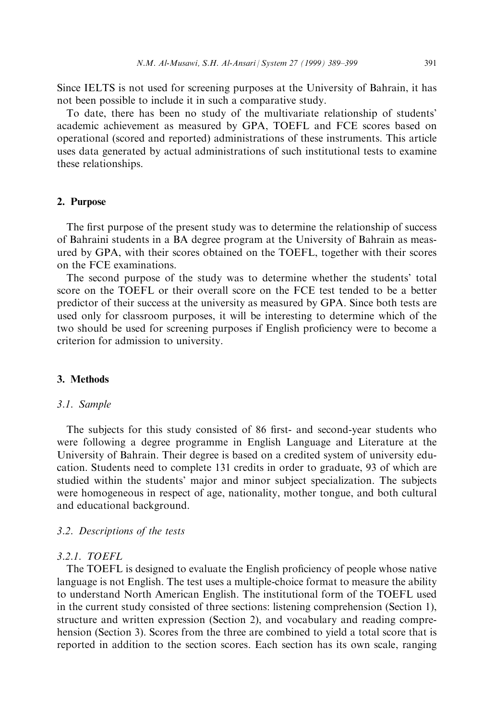Since IELTS is not used for screening purposes at the University of Bahrain, it has not been possible to include it in such a comparative study.

To date, there has been no study of the multivariate relationship of students' academic achievement as measured by GPA, TOEFL and FCE scores based on operational (scored and reported) administrations of these instruments. This article uses data generated by actual administrations of such institutional tests to examine these relationships.

#### 2. Purpose

The first purpose of the present study was to determine the relationship of success of Bahraini students in a BA degree program at the University of Bahrain as measured by GPA, with their scores obtained on the TOEFL, together with their scores on the FCE examinations.

The second purpose of the study was to determine whether the students' total score on the TOEFL or their overall score on the FCE test tended to be a better predictor of their success at the university as measured by GPA. Since both tests are used only for classroom purposes, it will be interesting to determine which of the two should be used for screening purposes if English proficiency were to become a criterion for admission to university.

#### 3. Methods

#### 3.1. Sample

The subjects for this study consisted of 86 first- and second-year students who were following a degree programme in English Language and Literature at the University of Bahrain. Their degree is based on a credited system of university education. Students need to complete 131 credits in order to graduate, 93 of which are studied within the students' major and minor subject specialization. The subjects were homogeneous in respect of age, nationality, mother tongue, and both cultural and educational background.

#### 3.2. Descriptions of the tests

#### 3.2.1. TOEFL

The TOEFL is designed to evaluate the English proficiency of people whose native language is not English. The test uses a multiple-choice format to measure the ability to understand North American English. The institutional form of the TOEFL used in the current study consisted of three sections: listening comprehension (Section 1), structure and written expression (Section 2), and vocabulary and reading comprehension (Section 3). Scores from the three are combined to yield a total score that is reported in addition to the section scores. Each section has its own scale, ranging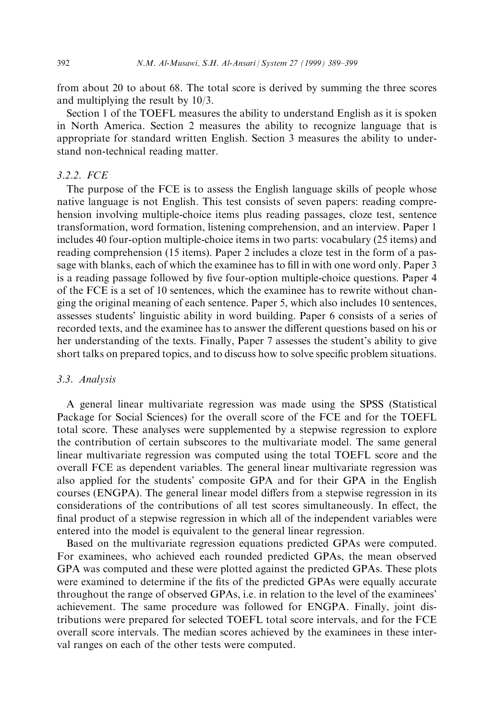from about 20 to about 68. The total score is derived by summing the three scores and multiplying the result by 10/3.

Section 1 of the TOEFL measures the ability to understand English as it is spoken in North America. Section 2 measures the ability to recognize language that is appropriate for standard written English. Section 3 measures the ability to understand non-technical reading matter.

#### 3.2.2. FCE

The purpose of the FCE is to assess the English language skills of people whose native language is not English. This test consists of seven papers: reading comprehension involving multiple-choice items plus reading passages, cloze test, sentence transformation, word formation, listening comprehension, and an interview. Paper 1 includes 40 four-option multiple-choice items in two parts: vocabulary (25 items) and reading comprehension (15 items). Paper 2 includes a cloze test in the form of a passage with blanks, each of which the examinee has to fill in with one word only. Paper 3 is a reading passage followed by five four-option multiple-choice questions. Paper 4 of the FCE is a set of 10 sentences, which the examinee has to rewrite without changing the original meaning of each sentence. Paper 5, which also includes 10 sentences, assesses students' linguistic ability in word building. Paper 6 consists of a series of recorded texts, and the examinee has to answer the different questions based on his or her understanding of the texts. Finally, Paper 7 assesses the student's ability to give short talks on prepared topics, and to discuss how to solve specific problem situations.

#### 3.3. Analysis

A general linear multivariate regression was made using the SPSS (Statistical Package for Social Sciences) for the overall score of the FCE and for the TOEFL total score. These analyses were supplemented by a stepwise regression to explore the contribution of certain subscores to the multivariate model. The same general linear multivariate regression was computed using the total TOEFL score and the overall FCE as dependent variables. The general linear multivariate regression was also applied for the students' composite GPA and for their GPA in the English courses (ENGPA). The general linear model differs from a stepwise regression in its considerations of the contributions of all test scores simultaneously. In effect, the final product of a stepwise regression in which all of the independent variables were entered into the model is equivalent to the general linear regression.

Based on the multivariate regression equations predicted GPAs were computed. For examinees, who achieved each rounded predicted GPAs, the mean observed GPA was computed and these were plotted against the predicted GPAs. These plots were examined to determine if the fits of the predicted GPAs were equally accurate throughout the range of observed GPAs, i.e. in relation to the level of the examinees' achievement. The same procedure was followed for ENGPA. Finally, joint distributions were prepared for selected TOEFL total score intervals, and for the FCE overall score intervals. The median scores achieved by the examinees in these interval ranges on each of the other tests were computed.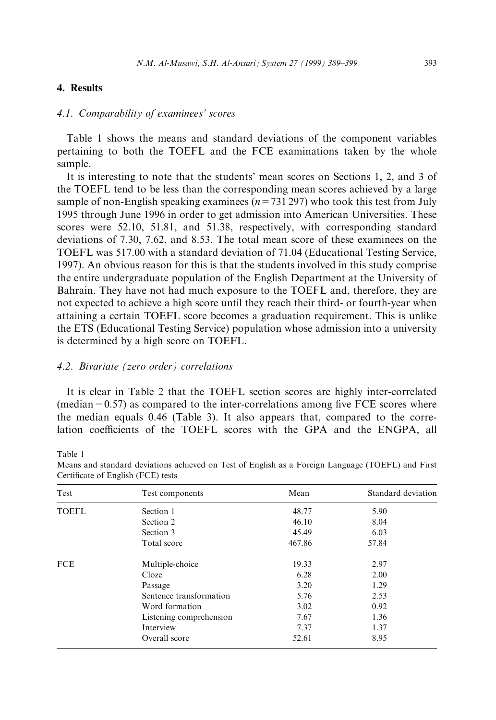# 4. Results

# 4.1. Comparability of examinees' scores

Table 1 shows the means and standard deviations of the component variables pertaining to both the TOEFL and the FCE examinations taken by the whole sample.

It is interesting to note that the students' mean scores on Sections 1, 2, and 3 of the TOEFL tend to be less than the corresponding mean scores achieved by a large sample of non-English speaking examinees ( $n=731 297$ ) who took this test from July 1995 through June 1996 in order to get admission into American Universities. These scores were 52.10, 51.81, and 51.38, respectively, with corresponding standard deviations of 7.30, 7.62, and 8.53. The total mean score of these examinees on the TOEFL was 517.00 with a standard deviation of 71.04 (Educational Testing Service, 1997). An obvious reason for this is that the students involved in this study comprise the entire undergraduate population of the English Department at the University of Bahrain. They have not had much exposure to the TOEFL and, therefore, they are not expected to achieve a high score until they reach their third- or fourth-year when attaining a certain TOEFL score becomes a graduation requirement. This is unlike the ETS (Educational Testing Service) population whose admission into a university is determined by a high score on TOEFL.

#### 4.2. Bivariate (zero order) correlations

It is clear in Table 2 that the TOEFL section scores are highly inter-correlated  $(\text{median}=0.57)$  as compared to the inter-correlations among five FCE scores where the median equals 0.46 (Table 3). It also appears that, compared to the correlation coefficients of the TOEFL scores with the GPA and the ENGPA, all

Table 1

| Test         | Test components         | Mean   | Standard deviation |
|--------------|-------------------------|--------|--------------------|
| <b>TOEFL</b> | Section 1               | 48.77  | 5.90               |
|              | Section 2               | 46.10  | 8.04               |
|              | Section 3               | 45.49  | 6.03               |
|              | Total score             | 467.86 | 57.84              |
|              | Multiple-choice         | 19.33  | 2.97               |
| <b>FCE</b>   | Cloze                   | 6.28   | 2.00               |
|              | Passage                 | 3.20   | 1.29               |
|              | Sentence transformation | 5.76   | 2.53               |
|              | Word formation          | 3.02   | 0.92               |
|              | Listening comprehension | 7.67   | 1.36               |
|              | Interview               | 7.37   | 1.37               |
|              | Overall score           | 52.61  | 8.95               |

Means and standard deviations achieved on Test of English as a Foreign Language (TOEFL) and First Certificate of English (FCE) tests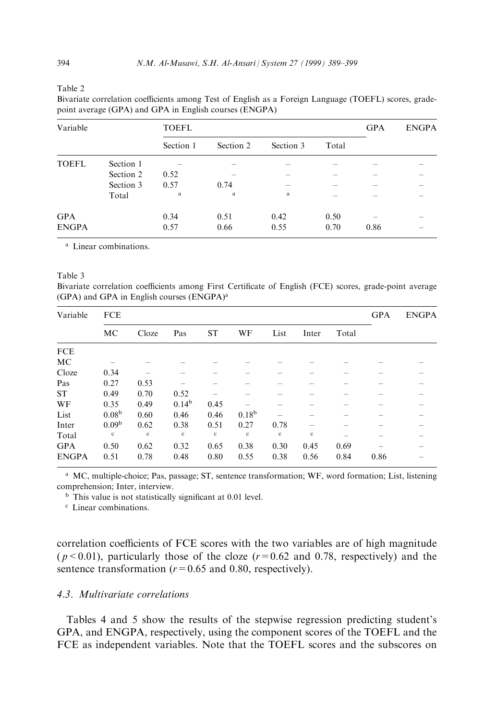Table 2

Bivariate correlation coefficients among Test of English as a Foreign Language (TOEFL) scores, gradepoint average (GPA) and GPA in English courses (ENGPA)

| Variable     |           | <b>TOEFL</b> |              | <b>GPA</b>   | <b>ENGPA</b> |      |  |
|--------------|-----------|--------------|--------------|--------------|--------------|------|--|
|              |           | Section 1    | Section 2    | Section 3    | Total        |      |  |
| <b>TOEFL</b> | Section 1 |              |              |              |              |      |  |
|              | Section 2 | 0.52         |              |              |              |      |  |
|              | Section 3 | 0.57         | 0.74         |              |              |      |  |
|              | Total     | a            | $\mathbf{a}$ | $\mathbf{a}$ |              |      |  |
| <b>GPA</b>   |           | 0.34         | 0.51         | 0.42         | 0.50         |      |  |
| <b>ENGPA</b> |           | 0.57         | 0.66         | 0.55         | 0.70         | 0.86 |  |

<sup>a</sup> Linear combinations.

#### Table 3

Bivariate correlation coefficients among First Certificate of English (FCE) scores, grade-point average (GPA) and GPA in English courses (ENGPA)<sup>a</sup>

| Variable     | <b>FCE</b>        |       |             |             |                   |             |             | <b>GPA</b> | <b>ENGPA</b> |  |
|--------------|-------------------|-------|-------------|-------------|-------------------|-------------|-------------|------------|--------------|--|
|              | MC                | Cloze | Pas         | <b>ST</b>   | WF                | List        | Inter       | Total      |              |  |
| <b>FCE</b>   |                   |       |             |             |                   |             |             |            |              |  |
| МC           |                   |       |             |             |                   |             |             |            |              |  |
| Cloze        | 0.34              |       |             |             |                   |             |             |            |              |  |
| Pas          | 0.27              | 0.53  |             |             |                   |             |             |            |              |  |
| ST           | 0.49              | 0.70  | 0.52        |             |                   |             |             |            |              |  |
| WF           | 0.35              | 0.49  | $0.14^{b}$  | 0.45        |                   |             |             |            |              |  |
| List         | 0.08 <sup>b</sup> | 0.60  | 0.46        | 0.46        | 0.18 <sup>b</sup> |             |             |            |              |  |
| Inter        | 0.09 <sup>b</sup> | 0.62  | 0.38        | 0.51        | 0.27              | 0.78        |             |            |              |  |
| Total        | $\mathbf c$       | c     | $\mathbf c$ | $\mathbf c$ | $\mathbf c$       | $\mathbf c$ | $\mathbf c$ |            |              |  |
| <b>GPA</b>   | 0.50              | 0.62  | 0.32        | 0.65        | 0.38              | 0.30        | 0.45        | 0.69       |              |  |
| <b>ENGPA</b> | 0.51              | 0.78  | 0.48        | 0.80        | 0.55              | 0.38        | 0.56        | 0.84       | 0.86         |  |

<sup>a</sup> MC, multiple-choice; Pas, passage; ST, sentence transformation; WF, word formation; List, listening comprehension; Inter, interview.

 $<sup>b</sup>$  This value is not statistically significant at 0.01 level.</sup>

<sup>c</sup> Linear combinations.

correlation coefficients of FCE scores with the two variables are of high magnitude  $(p<0.01)$ , particularly those of the cloze  $(r=0.62$  and 0.78, respectively) and the sentence transformation ( $r=0.65$  and 0.80, respectively).

# 4.3. Multivariate correlations

Tables 4 and 5 show the results of the stepwise regression predicting student's GPA, and ENGPA, respectively, using the component scores of the TOEFL and the FCE as independent variables. Note that the TOEFL scores and the subscores on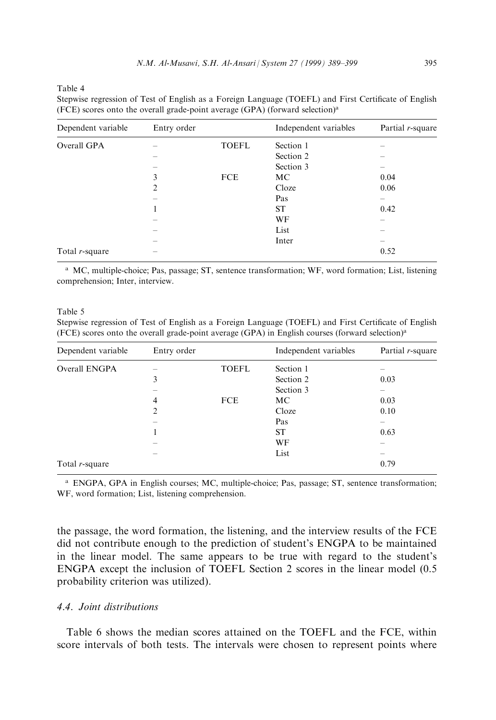Table 4

| Dependent variable | Entry order    |              | Independent variables | Partial r-square |
|--------------------|----------------|--------------|-----------------------|------------------|
| Overall GPA        |                | <b>TOEFL</b> | Section 1             |                  |
|                    |                |              | Section 2             |                  |
|                    |                |              | Section 3             |                  |
|                    | 3              | <b>FCE</b>   | MC                    | 0.04             |
|                    | $\overline{c}$ |              | Cloze                 | 0.06             |
|                    |                |              | Pas                   |                  |
|                    |                |              | <b>ST</b>             | 0.42             |
|                    |                |              | WF                    |                  |
|                    |                |              | List                  |                  |
|                    |                |              | Inter                 |                  |
| Total $r$ -square  |                |              |                       | 0.52             |

Stepwise regression of Test of English as a Foreign Language (TOEFL) and First Certificate of English (FCE) scores onto the overall grade-point average (GPA) (forward selection)a

<sup>a</sup> MC, multiple-choice; Pas, passage; ST, sentence transformation; WF, word formation; List, listening comprehension; Inter, interview.

Table 5

Stepwise regression of Test of English as a Foreign Language (TOEFL) and First Certificate of English (FCE) scores onto the overall grade-point average (GPA) in English courses (forward selection)a

| Dependent variable | Entry order |              | Independent variables | Partial r-square |
|--------------------|-------------|--------------|-----------------------|------------------|
| Overall ENGPA      |             | <b>TOEFL</b> | Section 1             |                  |
|                    | 3           |              | Section 2             | 0.03             |
|                    |             |              | Section 3             |                  |
|                    | 4           | <b>FCE</b>   | МC                    | 0.03             |
|                    | 2           |              | Cloze                 | 0.10             |
|                    |             |              | Pas                   |                  |
|                    |             |              | <b>ST</b>             | 0.63             |
|                    | -           |              | WF                    |                  |
|                    |             |              | List                  | -                |
| Total $r$ -square  |             |              |                       | 0.79             |

<sup>a</sup> ENGPA, GPA in English courses; MC, multiple-choice; Pas, passage; ST, sentence transformation; WF, word formation; List, listening comprehension.

the passage, the word formation, the listening, and the interview results of the FCE did not contribute enough to the prediction of student's ENGPA to be maintained in the linear model. The same appears to be true with regard to the student's ENGPA except the inclusion of TOEFL Section 2 scores in the linear model (0.5 probability criterion was utilized).

# 4.4. Joint distributions

Table 6 shows the median scores attained on the TOEFL and the FCE, within score intervals of both tests. The intervals were chosen to represent points where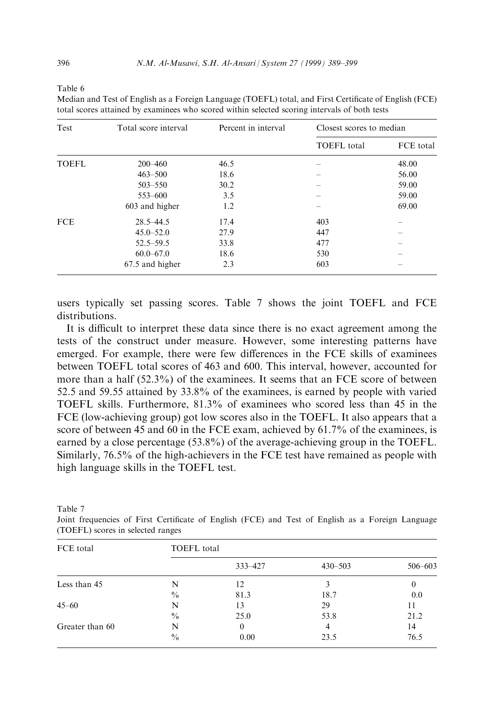Table 6

Median and Test of English as a Foreign Language (TOEFL) total, and First Certificate of English (FCE) total scores attained by examinees who scored within selected scoring intervals of both tests

| Test  | Total score interval | Percent in interval | Closest scores to median |           |  |
|-------|----------------------|---------------------|--------------------------|-----------|--|
|       |                      |                     | <b>TOEFL</b> total       | FCE total |  |
| TOEFL | $200 - 460$          | 46.5                |                          | 48.00     |  |
|       | $463 - 500$          | 18.6                |                          | 56.00     |  |
|       | $503 - 550$          | 30.2                |                          | 59.00     |  |
|       | 553-600              | 3.5                 |                          | 59.00     |  |
|       | 603 and higher       | 1.2                 |                          | 69.00     |  |
| FCE   | $28.5 - 44.5$        | 17.4                | 403                      |           |  |
|       | $45.0 - 52.0$        | 27.9                | 447                      |           |  |
|       | $52.5 - 59.5$        | 33.8                | 477                      |           |  |
|       | $60.0 - 67.0$        | 18.6                | 530                      |           |  |
|       | 67.5 and higher      | 2.3                 | 603                      |           |  |
|       |                      |                     |                          |           |  |

users typically set passing scores. Table 7 shows the joint TOEFL and FCE distributions.

It is difficult to interpret these data since there is no exact agreement among the tests of the construct under measure. However, some interesting patterns have emerged. For example, there were few differences in the FCE skills of examinees between TOEFL total scores of 463 and 600. This interval, however, accounted for more than a half (52.3%) of the examinees. It seems that an FCE score of between 52.5 and 59.55 attained by 33.8% of the examinees, is earned by people with varied TOEFL skills. Furthermore, 81.3% of examinees who scored less than 45 in the FCE (low-achieving group) got low scores also in the TOEFL. It also appears that a score of between 45 and 60 in the FCE exam, achieved by 61.7% of the examinees, is earned by a close percentage (53.8%) of the average-achieving group in the TOEFL. Similarly, 76.5% of the high-achievers in the FCE test have remained as people with high language skills in the TOEFL test.

| FCE total       | <b>TOEFL</b> total |         |             |          |
|-----------------|--------------------|---------|-------------|----------|
|                 |                    | 333-427 | $430 - 503$ | 506-603  |
| Less than 45    | N                  | 12      | 3           | $\bf{0}$ |
|                 | $\frac{0}{0}$      | 81.3    | 18.7        | 0.0      |
| $45 - 60$       | N                  | 13      | 29          | 11       |
|                 | $\frac{0}{0}$      | 25.0    | 53.8        | 21.2     |
| Greater than 60 | N                  | 0       | 4           | 14       |
|                 | $\frac{0}{0}$      | 0.00    | 23.5        | 76.5     |

Table 7

Joint frequencies of First Certificate of English (FCE) and Test of English as a Foreign Language (TOEFL) scores in selected ranges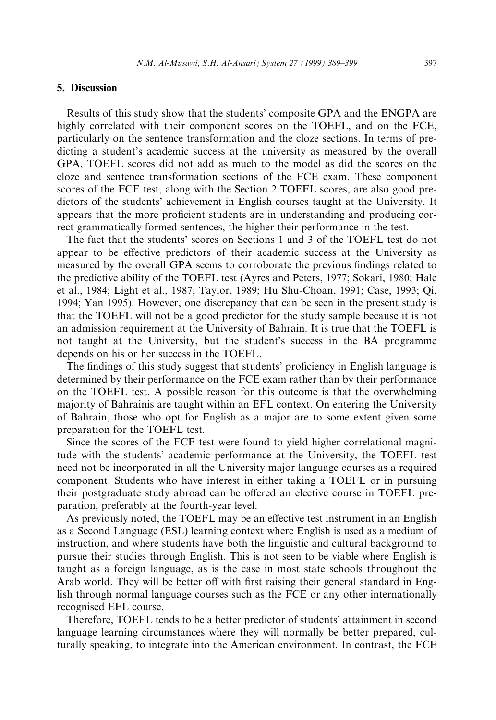# 5. Discussion

Results of this study show that the students' composite GPA and the ENGPA are highly correlated with their component scores on the TOEFL, and on the FCE, particularly on the sentence transformation and the cloze sections. In terms of predicting a student's academic success at the university as measured by the overall GPA, TOEFL scores did not add as much to the model as did the scores on the cloze and sentence transformation sections of the FCE exam. These component scores of the FCE test, along with the Section 2 TOEFL scores, are also good predictors of the students' achievement in English courses taught at the University. It appears that the more proficient students are in understanding and producing correct grammatically formed sentences, the higher their performance in the test.

The fact that the students' scores on Sections 1 and 3 of the TOEFL test do not appear to be effective predictors of their academic success at the University as measured by the overall GPA seems to corroborate the previous findings related to the predictive ability of the TOEFL test (Ayres and Peters, 1977; Sokari, 1980; Hale et al., 1984; Light et al., 1987; Taylor, 1989; Hu Shu-Choan, 1991; Case, 1993; Qi, 1994; Yan 1995). However, one discrepancy that can be seen in the present study is that the TOEFL will not be a good predictor for the study sample because it is not an admission requirement at the University of Bahrain. It is true that the TOEFL is not taught at the University, but the student's success in the BA programme depends on his or her success in the TOEFL.

The findings of this study suggest that students' proficiency in English language is determined by their performance on the FCE exam rather than by their performance on the TOEFL test. A possible reason for this outcome is that the overwhelming majority of Bahrainis are taught within an EFL context. On entering the University of Bahrain, those who opt for English as a major are to some extent given some preparation for the TOEFL test.

Since the scores of the FCE test were found to yield higher correlational magnitude with the students' academic performance at the University, the TOEFL test need not be incorporated in all the University major language courses as a required component. Students who have interest in either taking a TOEFL or in pursuing their postgraduate study abroad can be offered an elective course in TOEFL preparation, preferably at the fourth-year level.

As previously noted, the TOEFL may be an effective test instrument in an English as a Second Language (ESL) learning context where English is used as a medium of instruction, and where students have both the linguistic and cultural background to pursue their studies through English. This is not seen to be viable where English is taught as a foreign language, as is the case in most state schools throughout the Arab world. They will be better off with first raising their general standard in English through normal language courses such as the FCE or any other internationally recognised EFL course.

Therefore, TOEFL tends to be a better predictor of students' attainment in second language learning circumstances where they will normally be better prepared, culturally speaking, to integrate into the American environment. In contrast, the FCE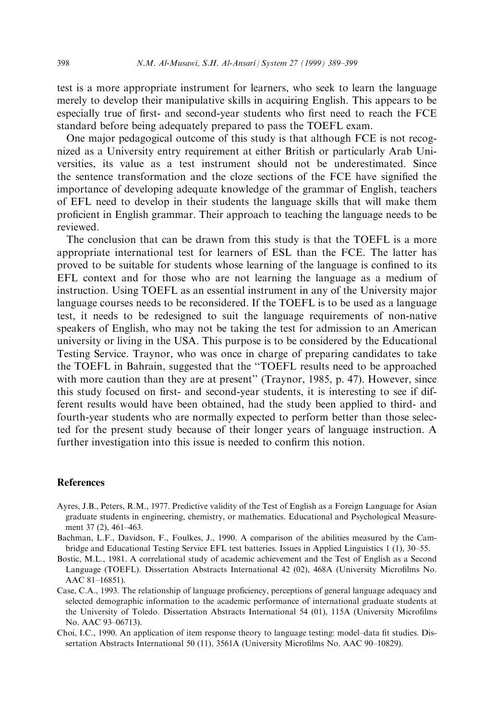test is a more appropriate instrument for learners, who seek to learn the language merely to develop their manipulative skills in acquiring English. This appears to be especially true of first- and second-year students who first need to reach the FCE standard before being adequately prepared to pass the TOEFL exam.

One major pedagogical outcome of this study is that although FCE is not recognized as a University entry requirement at either British or particularly Arab Universities, its value as a test instrument should not be underestimated. Since the sentence transformation and the cloze sections of the FCE have signified the importance of developing adequate knowledge of the grammar of English, teachers of EFL need to develop in their students the language skills that will make them pro®cient in English grammar. Their approach to teaching the language needs to be reviewed.

The conclusion that can be drawn from this study is that the TOEFL is a more appropriate international test for learners of ESL than the FCE. The latter has proved to be suitable for students whose learning of the language is confined to its EFL context and for those who are not learning the language as a medium of instruction. Using TOEFL as an essential instrument in any of the University major language courses needs to be reconsidered. If the TOEFL is to be used as a language test, it needs to be redesigned to suit the language requirements of non-native speakers of English, who may not be taking the test for admission to an American university or living in the USA. This purpose is to be considered by the Educational Testing Service. Traynor, who was once in charge of preparing candidates to take the TOEFL in Bahrain, suggested that the "TOEFL results need to be approached with more caution than they are at present" (Traynor, 1985, p. 47). However, since this study focused on first- and second-year students, it is interesting to see if different results would have been obtained, had the study been applied to third- and fourth-year students who are normally expected to perform better than those selected for the present study because of their longer years of language instruction. A further investigation into this issue is needed to confirm this notion.

#### References

- Ayres, J.B., Peters, R.M., 1977. Predictive validity of the Test of English as a Foreign Language for Asian graduate students in engineering, chemistry, or mathematics. Educational and Psychological Measurement 37 (2), 461-463.
- Bachman, L.F., Davidson, F., Foulkes, J., 1990. A comparison of the abilities measured by the Cambridge and Educational Testing Service EFL test batteries. Issues in Applied Linguistics 1 (1), 30–55.
- Bostic, M.L., 1981. A correlational study of academic achievement and the Test of English as a Second Language (TOEFL). Dissertation Abstracts International 42 (02), 468A (University Microfilms No. AAC 81-16851).
- Case, C.A., 1993. The relationship of language proficiency, perceptions of general language adequacy and selected demographic information to the academic performance of international graduate students at the University of Toledo. Dissertation Abstracts International 54 (01), 115A (University Microfilms No. AAC 93-06713).
- Choi, I.C., 1990. An application of item response theory to language testing: model-data fit studies. Dissertation Abstracts International 50 (11), 3561A (University Microfilms No. AAC 90-10829).